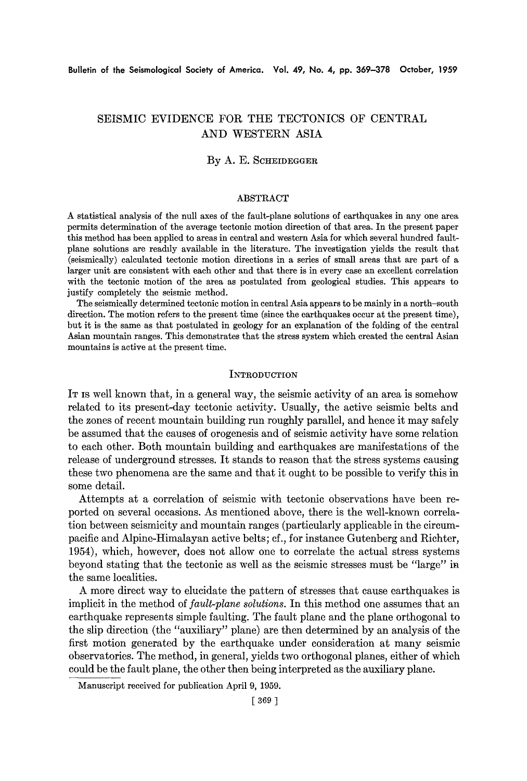# SEISMIC EVIDENCE FOR THE TECTONICS OF CENTRAL AND WESTERN ASIA

# **By A. E. SCHEIDEGGER**

#### ABSTRACT

A statistical analysis of the null axes of the fault-plane solutions of earthquakes in any one area permits determination of the average tectonic motion direction of that area. In the present paper this method has been applied to areas in central and western Asia for which several hundred faultplane solutions are readily available in the literature. The investigation yields the result that (seismically) calculated tectonic motion directions in a series of small areas that are part of a larger unit are consistent with each other and that there is in every case an excellent correlation with the tectonic motion of the area as postulated from geological studies. This appears to justify completely the seismic method.

The seismically determined tectonic motion in central Asia appears to be mainly in a north-south direction. The motion refers to the present time (since the earthquakes occur at the present time), but it is the same as that postulated in geology for an explanation of the folding of the central Asian mountain ranges. This demonstrates that the stress system which created the central Asian mountains is active at the present time.

#### **INTRODUCTION**

IT IS well known that, in a general way, the seismic activity of an area is somehow related to its present-day tectonic activity. Usually, the active seismic belts and the zones of recent mountain building run roughly parallel, and hence it may safely be assumed that the causes of orogenesis and of seismic activity have some relation to each other. Both mountain building and earthquakes are manifestations of the release of underground stresses. It stands to reason that the stress systems causing these two phenomena are the same and that it ought to be possible to verify this in some detail.

Attempts at a correlation of seismic with tectonic observations have been reported on several occasions. As mentioned above, there is the well-known correlation between seismicity and mountain ranges (particularly applicable in the cireumpacific and Alpine-Himalayan active belts; cf., for instance Gutenberg and Richter, 1954), which, however, does not allow one to correlate the actual stress systems beyond stating that the tectonic as well as the seismic stresses must be *"large"* in the same localities.

A more direct way to elucidate the pattern of stresses that cause earthquakes is implicit in the method of *fault-plane solutions.* In this method one assumes that an earthquake represents simple faulting. The fault plane and the plane orthogonal to the slip direction (the "auxiliary" plane) are then determined by an analysis of the first motion generated by the earthquake under consideration at many seismic observatories. The method, in general, yields two orthogonal planes, either of which could be the fault plane, the other then being interpreted as the auxiliary plane.

Manuscript received for publication April 9, 1959.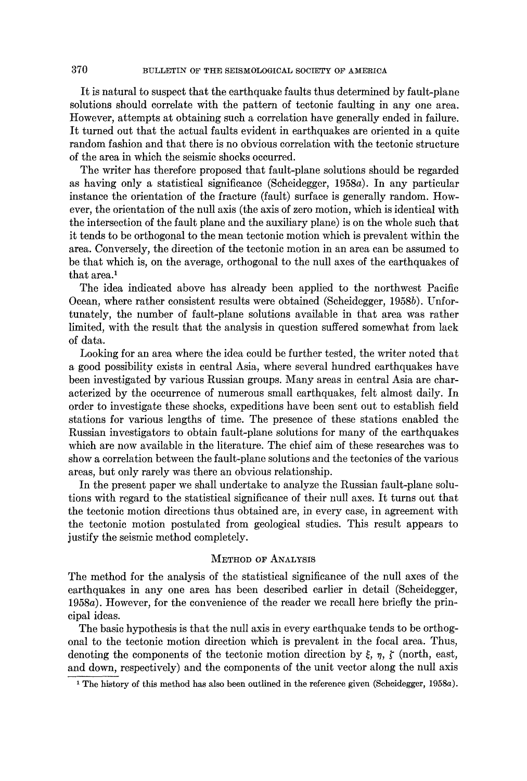It is natural to suspect that the earthquake faults thus determined by fault-plane solutions should correlate with the pattern of tectonic faulting in any one area. However, attempts at obtaining such a correlation have generally ended in failure. It turned out that the actual faults evident in earthquakes are oriented in a quite random fashion and that there is no obvious correlation with the tectonic structure of the area in which the seismic shocks occurred.

The writer has therefore proposed that fault-plane solutions should be regarded as having only a statistical significance (Scheidegger, 1958a). In any particular instance the orientation of the fracture (fault) surface is generally random. However, the orientation of the null axis (the axis of zero motion, which is identical with the intersection of the fault plane and the auxiliary plane) is on the whole such that it tends to be orthogonal to the mean tectonic motion which is prevalent within the area. Conversely, the direction of the tectonic motion in an area can be assumed to be that which is, on the average, orthogonal to the null axes of the earthquakes of that area.<sup>1</sup>

The idea indicated above has already been applied to the northwest Pacific Ocean, where rather consistent results were obtained (Scheidegger, 1958b). Unfortunately, the number of fault-plane solutions available in that area was rather limited, with the result that the analysis in question suffered somewhat from lack of data.

Looking for an area where the idea could be further tested, the writer noted that a good possibility exists in central Asia, where several hundred earthquakes have been investigated by various Russian groups. Many areas in central Asia are characterized by the occurrence of numerous small earthquakes, felt almost daily. In order to investigate these shocks, expeditions have been sent out to establish field stations for various lengths of time. The presence of these stations enabled the Russian investigators to obtain fault-plane solutions for many of the earthquakes which are now available in the literature. The chief aim of these researches was to show a correlation between the fault-plane solutions and the tectonics of the various areas, but only rarely was there an obvious relationship.

In the present paper we shall undertake to analyze the Russian fault-plane solutions with regard to the statistical significance of their null axes. It turns out that the tectonic motion directions thus obtained are, in every case, in agreement with the tectonic motion postulated from geological studies. This result appears to justify the seismic method completely.

# METHOD OF ANALYSIS

The method for the analysis of the statistical significance of the null axes of the earthquakes in any one area has been described earlier in detail (Scheidegger, 1958a). However, for the convenience of the reader we recall here briefly the principal ideas.

The basic hypothesis is that the null axis in every earthquake tends to be orthogonal to the tectonic motion direction which is prevalent in the focal area. Thus, denoting the components of the tectonic motion direction by  $\xi$ ,  $\eta$ ,  $\zeta$  (north, east, and down, respectively) and the components of the unit vector along the null axis

<sup>&</sup>lt;sup>1</sup> The history of this method has also been outlined in the reference given (Scheidegger, 1958a).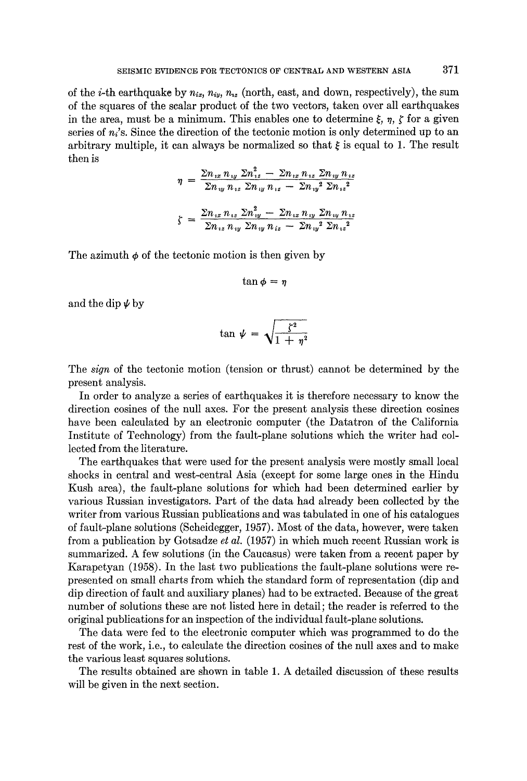of the *i*-th earthquake by  $n_{ix}$ ,  $n_{iy}$ ,  $n_{iz}$  (north, east, and down, respectively), the sum of the squares of the scalar product of the two vectors, taken over all earthquakes in the area, must be a minimum. This enables one to determine  $\xi$ ,  $\eta$ ,  $\zeta$  for a given series of  $n_i$ 's. Since the direction of the tectonic motion is only determined up to an arbitrary multiple, it can always be normalized so that  $\xi$  is equal to 1. The result then is

$$
\eta = \frac{\sum n_{ix} n_{iy} \sum n_{iz}^2 - \sum n_{ix} n_{iz} \sum n_{iy} n_{iz}}{\sum n_{iy} n_{iz} \sum n_{iy} n_{iz} - \sum n_{iy}^2 \sum n_{iz}^2}
$$

$$
\zeta = \frac{\sum n_{ix} n_{iz} \sum n_{iy}^2 - \sum n_{iz} n_{iy} \sum n_{iy} n_{iz}}{\sum n_{iz} n_{iy} \sum n_{iy} n_{iz} - \sum n_{iy}^2 \sum n_{iz}^2}
$$

The azimuth  $\phi$  of the tectonic motion is then given by

$$
\tan\phi=\eta
$$

and the dip  $\psi$  by

$$
\tan \psi = \sqrt{\frac{\zeta^2}{1 + \eta^2}}
$$

The *sign* of the tectonic motion (tension or thrust) cannot be determined by the present analysis.

In order to analyze a series of earthquakes it is therefore necessary to know the direction cosines of the null axes. For the present analysis these direction cosines have been calculated by an electronic computer (the Datatron of the California Institute of Technology) from the fault-plane solutions which the writer had collected from the literature.

The earthquakes that were used for the present analysis were mostly small local shocks in central and west-central Asia (except for some large ones in the Hindu Kush area), the fault-plane solutions for which had been determined earlier by various Russian investigators. Part of the data had already been collected by the writer from various Russian publications and was tabulated in one of his catalogues of fault-plane solutions (Scheidegger, 1957). Most of the data, however, were taken from a publication by Gotsadze *et al.* (1957) in which much recent Russian work is summarized. A few solutions (in the Caucasus) were taken from a recent paper by Karapetyan (1958). In the last two publications the fault-plane solutions were represented on small charts from which the standard form of representation (dip and dip direction of fault and auxiliary planes) had to be extracted. Because of the great number of solutions these are not listed here in detail; the reader is referred to the original publications for an inspection of the individual fault-plane solutions.

The data were fed to the electronic computer which was programmed to do the rest of the work, i.e., to calculate the direction cosines of the null axes and to make the various least squares solutions.

The results obtained are shown in table 1. A detailed discussion of these results will be given in the next section.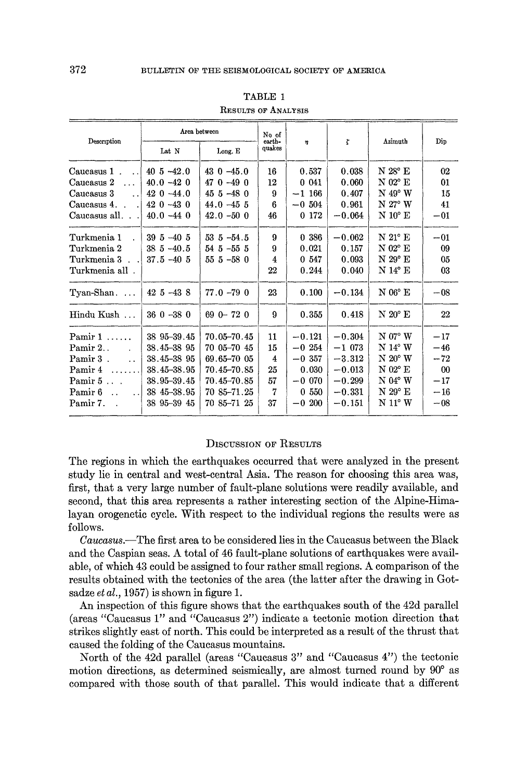| Description                                                        | Area between    |                 | No of<br>earth- |             | t        | Azimuth                                | Dip   |
|--------------------------------------------------------------------|-----------------|-----------------|-----------------|-------------|----------|----------------------------------------|-------|
|                                                                    | Lat N           | Long. E         | quakes          | 4           |          |                                        |       |
| Caucasus 1<br>$\sim$<br>$\sim$ $\sim$                              | $40\,5 - 42.0$  | $43 \t0 -45.0$  | 16              | 0.537       | 0.038    | $N 28^{\circ}$ E                       | 02    |
| Caucasus 2<br>$\sim$ $\sim$                                        | $40.0 - 42.0$   | $470 - 490$     | 12              | 0.041       | 0.060    | $N$ 02 $^{\circ}$ E                    | 01    |
| Caucasus 3<br>$\ddot{\phantom{0}}$                                 | $42 \t0 -44.0$  | $455 - 480$     | 9               | $-1$ 166    | 0.407    | $N$ 49° W                              | 15    |
| Caucasus 4.                                                        | $420 - 430$     | $44.0 - 45.5$   | 6               | $-0.504$    | 0.961    | $N$ 27° W                              | 41    |
| Caucasus all                                                       | $40.0 - 44.0$   | $42.0 - 50.0$   | 46              | 0 172       | $-0.064$ | $\mathrm{N}~10^\circ~\mathrm{E}$       | $-01$ |
| Turkmenia 1                                                        | $395 - 405$     | $53\,5 - 54.5$  | 9               | 0 386       | $-0.062$ | $\mathrm{N}$ $21^{\circ}$ $\mathrm{E}$ | $-01$ |
| Turkmenia 2                                                        | $385 - 40.5$    | $54\,5 - 55\,5$ | 9               | 0.021       | 0.157    | $\mathrm{N}$ 02° $\mathrm{E}$          | 09    |
| Turkmenia 3                                                        | $37.5 - 40.5$   | $555 - 580$     | 4               | 0 547       | 0.093    | $N$ 29° E                              | 05    |
| Turkmenia all .                                                    |                 |                 | $22\,$          | 0.244       | 0.040    | N 14° E                                | 03    |
| Tyan-Shan                                                          | $42\,5 - 43\,8$ | $77.0 - 79.0$   | 23              | 0.100       | $-0.134$ | $N 06^{\circ}$ E                       | $-08$ |
| Hindu Kush                                                         | $360 - 380$     | $690 - 720$     | 9               | 0.355       | 0.418    | $N\ 20^{\circ}$ $\bf{E}$               | 22    |
| Pamir $1, \ldots$                                                  | 38 95-39.45     | $70.05 - 70.45$ | 11              | $-0.121$    | $-0.304$ | $N 07^{\circ} W$                       | $-17$ |
| Pamir 2.                                                           | 38.45-38 95     | 70 05 - 70 45   | 15              | $-0.254$    | $-1073$  | $\mathrm{N}$ 14° $\mathrm{W}$          | $-46$ |
| Pamir 3.<br>$\mathbf{r}$                                           | 38.45-38 95     | 69.65-70 05     | 4               | $-0.357$    | $-3.312$ | $N 20^{\circ} W$                       | $-72$ |
| Pamir 4<br>.                                                       | $38.45 - 38.95$ | 70.45-70.85     | 25              | 0.030       | $-0.013$ | $N$ 02 $^{\circ}$ $\rm E$              | 00    |
| Pamir $5$                                                          | 38.95-39.45     | $70.45 - 70.85$ | 57              | $-0.070$    | $-0.299$ | $N 04^{\circ} W$                       | $-17$ |
| Pamir <sub>6</sub><br>$\ddot{\phantom{a}}$<br>$\ddot{\phantom{0}}$ | 38 45 - 38.95   | 70 85-71.25     | $\overline{7}$  | 0.550       | $-0.331$ | $N 29^{\circ}$ E                       | $-16$ |
| Pamir 7.                                                           | 38 95 - 39 45   | 70 85-71 25     | 37              | 200<br>$-0$ | $-0.151$ | $N 11^{\circ} W$                       | $-08$ |

| TABLE 1              |  |  |  |
|----------------------|--|--|--|
| Resittes of Analysis |  |  |  |

# DISCUSSION OF RESULTS

The regions in which the earthquakes occurred that were analyzed in the present study lie in central and west-central Asia. The reason for choosing this area was, first, that a very large number of fault-plane solutions were readily available, and second, that this area represents a rather interesting section of the Alpine-Himalayan orogenetic cycle. With respect to the individual regions the results were as follows.

*Caucasus.--The* first area to be considered lies in the Caucasus between the Black and the Caspian seas. A total of 46 fault-plane solutions of earthquakes were available, of which 43 could be assigned to four rather small regions. A comparison of the results obtained with the tectonics of the area (the latter after the drawing in Gotsadze *et al.*, 1957) is shown in figure 1.

An inspection of this figure shows that the earthquakes south of the 42d parallel (areas "Caucasus 1" and "Caucasus 2") indicate a tectonic motion direction that strikes slightly east of north. This could be interpreted as a result of the thrust that caused the folding of the Caucasus mountains.

North of the 42d parallel (areas "Caucasus 3" and "Caucasus 4") the tectonic motion directions, as determined seismically, are almost turned round by 90<sup>°</sup> as compared with those south of that parallel. This would indicate that a different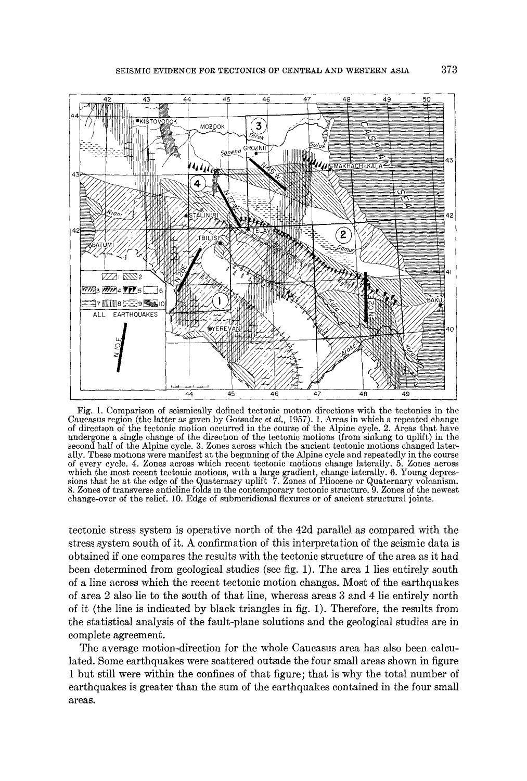

Fig. 1. Comparison of seismically defined tectonic motion directions with the tectonics in the Caucasus region (the latter as given by Gotsadze *et al.,* 1957). 1. Areas in which a repeated change of direction of the tectonic motion occurred in the course of the Alpine cycle. 2. Areas that have undergone a single change of the direction of the tectonic motions (from sinking to uplift) in the second half of the Alpine cycle. 3. Zones across which the ancient tectonic motions changed laterally. These motions were manifest at the beginning of the Alpine cycle and repeatedly in the course of every cycle. 4. Zones across which recent tectonic motions change laterally. 5. Zones across which the most recent tectonic motions, with a large gradient, change laterally. 6. Young depressions that he at the edge of the Quaternary uplift 7. Zones of Pliocene or Quaternary volcanism. 8. Zones of transverse anticline folds m the contemporary tectonic structure. 9. Zones of the newest change-over of the relief. 10. Edge of submeridional flexures or of ancient structural joints.

tectonic stress system is operative north of the 42d parallel as compared with the stress system south of it. A confirmation of this interpretation of the seismic data is obtained if one compares the results with the tectonic structure of the area as it had been determined from geological studies (see fig. 1). The area 1 lies entirely south of a line across which the recent tectonic motion changes. Most of the earthquakes of area 2 also lie to the south of that line, whereas areas 3 and 4 lie entirely north of it (the line is indicated by black triangles in fig. 1). Therefore, the results from the statistical analysis of the fault-plane solutions and the geological studies are in complete agreement.

The average motion-direction for the whole Caucasus area has also been calculated. Some earthquakes were scattered outside the four small areas shown in figure 1 but still were within the confines of that figure; that is why the total number of earthquakes is greater than the sum of the earthquakes contained in the four small areas.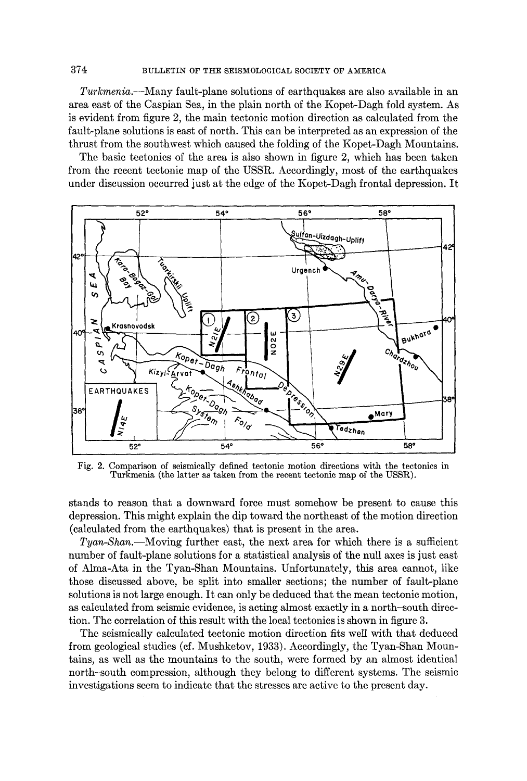374 BULLETIN OF THE SEISMOLOGICAL SOCIETY OF AMERICA

*Turkmenia.--Many* fault-plane solutions of earthquakes are also available in an area east of the Caspian Sea, in the plain north of the Kopet-Dagh fold system. As is evident from figure 2, the main tectonic motion direction as calculated from the fault-plane solutions is east of north. This can be interpreted as an expression of the thrust from the southwest which caused the folding of the Kopet-Dagh Mountains.

The basic tectonics of the area is also shown in figure 2, which has been taken from the recent tectonic map of the USSR. Accordingly, most of the earthquakes under discussion occurred just at the edge of the Kopet-Dagh frontal depression. It



Fig. 2. Comparison of seismically defined tectonic motion directions with the tectonics in Turkmenia (the latter as taken from the recent tectonic map of the USSR).

stands to reason that a downward force must somehow be present to cause this depression. This might explain the dip toward the northeast of the motion direction (calculated from the earthquakes) that is present in the area.

*Tyan-Shan.--Moving* further east, the next area for which there is a sufficient number of fault-plane solutions for a statistical analysis of the null axes is just east of Alma-Ata in the Tyan-Shan Mountains. Unfortunately, this area cannot, like those discussed above, be split into smaller sections; the number of fault-plane solutions is not large enough. It can only be deduced that the mean tectonic motion, as calculated from seismic evidence, is acting almost exactly in a north-south direction. The correlation of this result with the local tectonics is shown in figure 3.

The seismically calculated tectonic motion direction fits well with that deduced from geological studies (cf. Mushketov, 1933). Accordingly, the Tyan-Shan Mountains, as well as the mountains to the south, were formed by an almost identical north-south compression, although they belong to different systems. The seismic investigations seem to indicate that the stresses are active to the present day.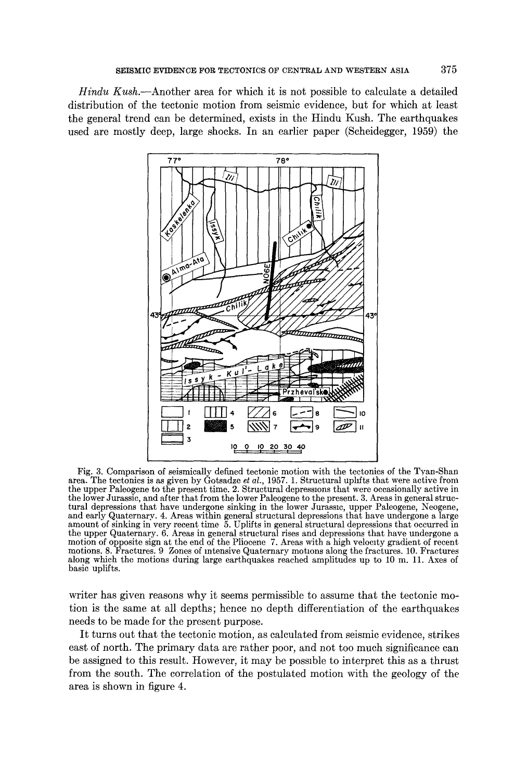*Hindu Kush.--Another* area for which it is not possible to calculate a detailed distribution of the tectonic motion from seismic evidence, but for which at least the general trend can be determined, exists in the Hindu Kush. The earthquakes used are mostly deep, large shocks. In an earlier paper (Scheidegger, 1959) the



Fig. 3. Comparison of seismically defined tectonic motion with the tectonics of the Tyan-Shan area. The tectonics is as given by Gotsadze *et al.,* 1957. 1. Structural uphfts that were active from the upper Paleogene to the present time. 2. Structural depressions that were occasionally active in the lower Jurassic, and after that from the lower Paleogene to the present. 3. Areas in general structural depressions that have undergone sinking in the lower Jurassic, upper Paleogene, Neogene, and early Quaternary. 4. Areas within general structural depressions that have undergone a large amount of sinking in very recent time 5. Uplifts in general structural depressions that occurred in the upper Quaternary. 6. Areas in general structural rises and depressions that have undergone a motion of opposite sign at the end of the Pliocene 7. Areas with a high velocity gradient of recent motions. 8. Fractures. 9 Zones of intensive Quaternary motmns along the fractures. 10. Fractures along which the motions during large earthquakes reached amplitudes up to 10 m. 11. Axes of basic uplifts.

writer has given reasons why it seems permissible to assume that the tectonic motion is the same at all depths; hence no depth differentiation of the earthquakes needs to be made for the present purpose.

It turns out that the tectonic motion, as calculated from seismic evidence, strikes east of north. The primary data are rather poor, and not too much significance can be assigned to this result. However, it may be possible to interpret this as a thrust from the south. The correlation of the postulated motion with the geology of the area is shown in figure 4.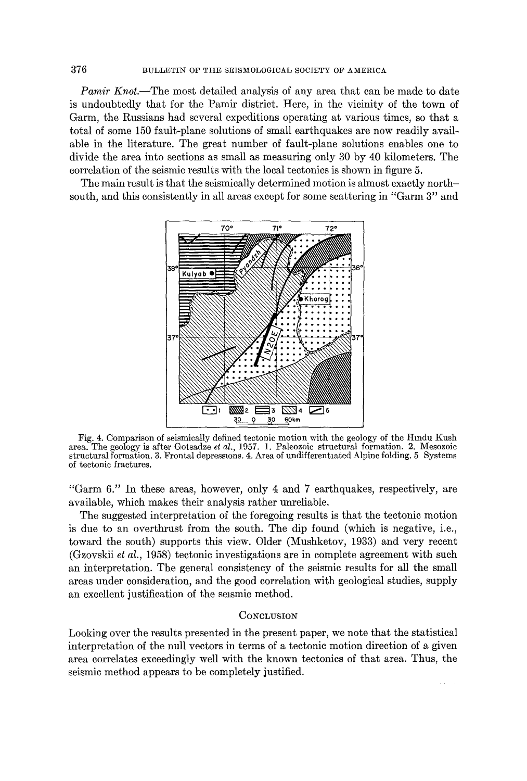*Pamir Knot*.—The most detailed analysis of any area that can be made to date is undoubtedly that for the Pamir district. Here, in the vicinity of the town of Garm, the Russians had several expeditions operating at various times, so that a total of some 150 fault-plane solutions of small earthquakes are now readily available in the literature. The great number of fault-plane solutions enables one to divide the area into sections as small as measuring only 30 by 40 kilometers. The correlation of the seismic results with the local tectonics is shown in figure 5.

The main result is that the seismically determined motion is almost exactly northsouth, and this consistently in all areas except for some scattering in "Garm 3" and



Fig. 4. Comparison of seismically defined tectonic motion with the geology of the Hindu Kush area. The geology is after Gotsadze *et al.,* 1957. l. Paleozoic structural formation. 2. Mesozoic structural formation. 3. Frontal depressions. 4. Area of undifferentiated Alpine folding. 5 Systems of tectonic fractures.

"Garm 6." In these areas, however, only 4 and 7 earthquakes, respectively, are available, which makes their analysis rather unreliable.

The suggested interpretation of the foregoing results is that the tectonic motion is due to an overthrust from the south. The dip found (which is negative, i.e., toward the south) supports this view. Older (Mushketov, 1933) and very recent (Gzovskii *et al.,* 1958) tectonic investigations are in complete agreement with such an interpretation. The general consistency of the seismic results for all the small areas under consideration, and the good correlation with geological studies, supply an excellent justification of the seismic method.

# **CONCLUSION**

Looking over the results presented in the present paper, we note that the statistical interpretation of the null vectors in terms of a tectonic motion direction of a given area correlates exceedingly well with the known tectonics of that area. Thus, the seismic method appears to be completely justified.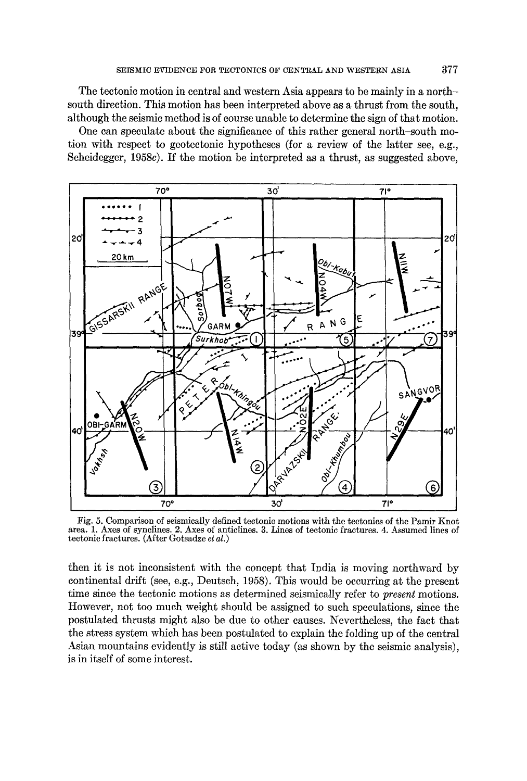The tectonic motion in central and western Asia appears to be mainly in a northsouth direction. This motion has been interpreted above as a thrust from the south, although the seismic method is of course unable to determine the sign of that motion.

One can speculate about the significance of this rather general north-south motion with respect to geoteetonie hypotheses (for a review of the latter see, e.g., Scheidegger, 1958c). If the motion be interpreted as a thrust, as suggested above,



Fig. 5. Comparison of seismically defined tectonic motions with the tectonics of the Pamir Knot area. 1. Axes of synclines. 2. Axes of anticlines. 3. Lines of tectonic fractures. 4. Assumed lines of tectonic fractures. (After Gotsadze *et at.)* 

then it is not inconsistent with the concept that India is moving northward by continental drift (see, e.g., Deutsch, 1958). This would be occurring at the present time since the tectonic motions as determined seismically refer to *present* motions. However, not too much weight should be assigned to such speculations, since the postulated thrusts might also be due to other causes. Nevertheless, the fact that the stress system which has been postulated to explain the folding up of the central Asian mountains evidently is still active today (as shown by the seismic analysis), is in itself of some interest.